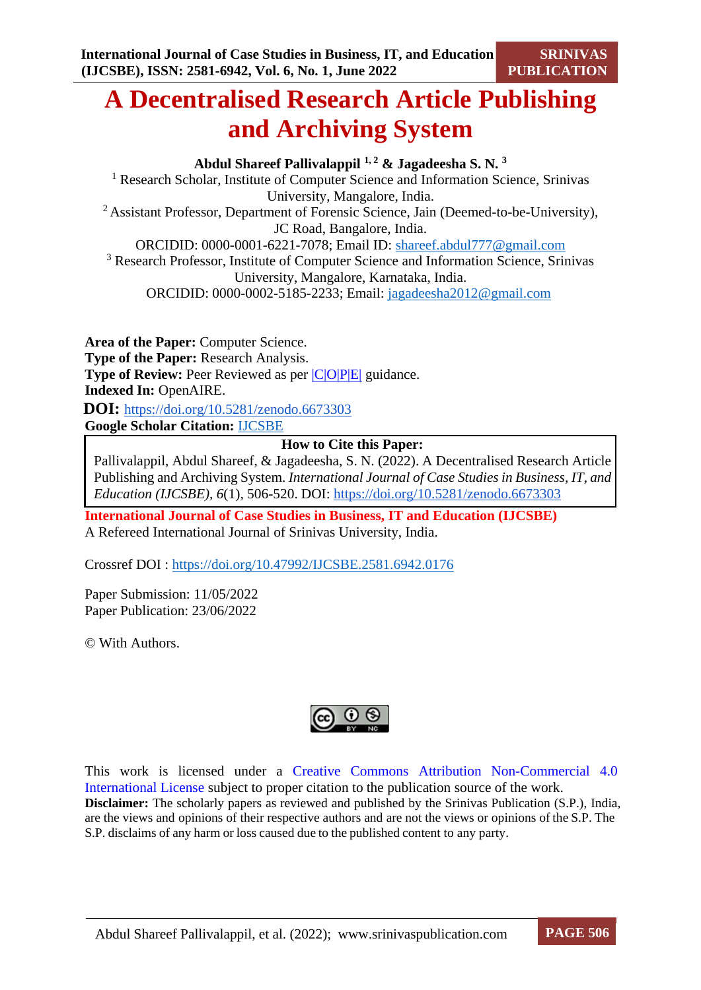# **A Decentralised Research Article Publishing and Archiving System**

**Abdul Shareef Pallivalappil 1, <sup>2</sup> & Jagadeesha S. N. <sup>3</sup>** <sup>1</sup> Research Scholar, Institute of Computer Science and Information Science, Srinivas University, Mangalore, India. <sup>2</sup> Assistant Professor, Department of Forensic Science, Jain (Deemed-to-be-University), JC Road, Bangalore, India. ORCIDID: 0000-0001-6221-7078; Email ID: [shareef.abdul777@gmail.com](mailto:shareef.abdul777@gmail.com) <sup>3</sup> Research Professor, Institute of Computer Science and Information Science, Srinivas University, Mangalore, Karnataka, India. ORCIDID: 0000-0002-5185-2233; Email: [jagadeesha2012@gmail.com](mailto:jagadeesha2012@gmail.com)

**Area of the Paper:** Computer Science. **Type of the Paper:** Research Analysis. **Type of Review:** Peer Reviewed as per  $|C|O||P|E|$  guidance. **Indexed In:** OpenAIRE.  **DOI:** <https://doi.org/10.5281/zenodo.6673303> **Google Scholar Citation:** [IJCSBE](https://scholar.google.com/citations?user=yGYPA1MAAAAJ)

## **How to Cite this Paper:**

Pallivalappil, Abdul Shareef, & Jagadeesha, S. N. (2022). A Decentralised Research Article Publishing and Archiving System. *International Journal of Case Studies in Business, IT, and Education (IJCSBE), 6*(1), 506-520. DOI: <https://doi.org/10.5281/zenodo.6673303>

**International Journal of Case Studies in Business, IT and Education (IJCSBE)** A Refereed International Journal of Srinivas University, India.

Crossref DOI : [https://doi.org/10.47992/IJCSBE.2581.6942.0176](https://search.crossref.org/?q=10.47992%2FIJCSBE.2581.6942.0176&from_ui=yes)

Paper Submission: 11/05/2022 Paper Publication: 23/06/2022

© With Authors.



This work is licensed under a Creative Commons Attribution Non-Commercial 4.0 International License subject to proper citation to the publication source of the work. **Disclaimer:** The scholarly papers as reviewed and published by the Srinivas Publication (S.P.), India, are the views and opinions of their respective authors and are not the views or opinions of the S.P. The S.P. disclaims of any harm or loss caused due to the published content to any party.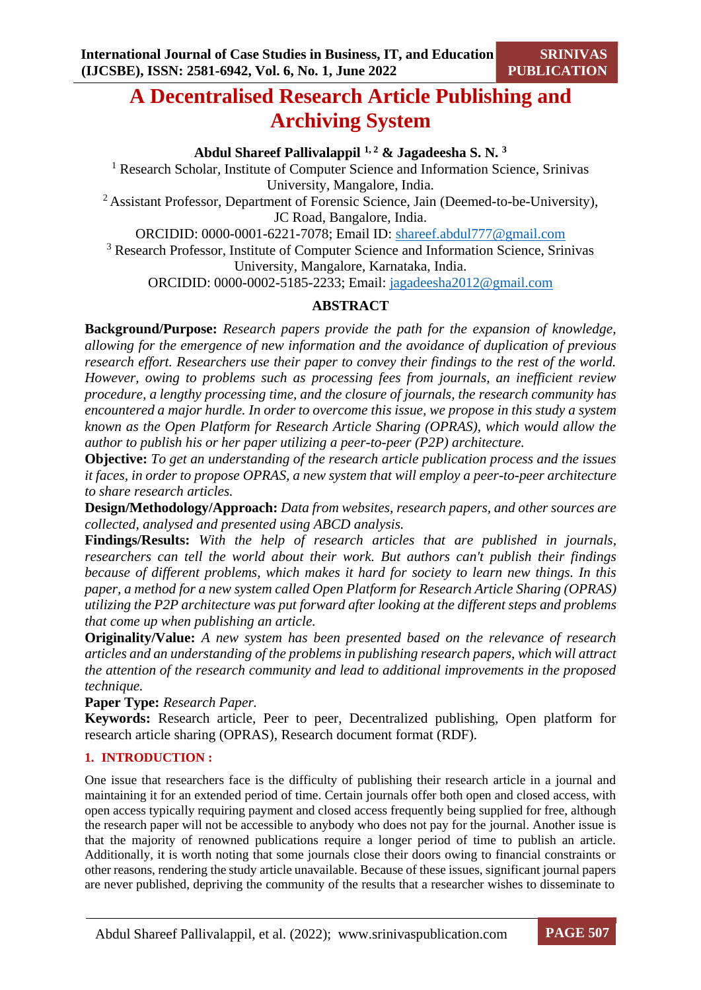## **A Decentralised Research Article Publishing and Archiving System**

**Abdul Shareef Pallivalappil 1, <sup>2</sup> & Jagadeesha S. N. <sup>3</sup>**

<sup>1</sup> Research Scholar, Institute of Computer Science and Information Science, Srinivas University, Mangalore, India.

<sup>2</sup> Assistant Professor, Department of Forensic Science, Jain (Deemed-to-be-University), JC Road, Bangalore, India.

ORCIDID: 0000-0001-6221-7078; Email ID: [shareef.abdul777@gmail.com](mailto:shareef.abdul777@gmail.com)

<sup>3</sup> Research Professor, Institute of Computer Science and Information Science, Srinivas University, Mangalore, Karnataka, India.

ORCIDID: 0000-0002-5185-2233; Email: [jagadeesha2012@gmail.com](mailto:jagadeesha2012@gmail.com)

## **ABSTRACT**

**Background/Purpose:** *Research papers provide the path for the expansion of knowledge, allowing for the emergence of new information and the avoidance of duplication of previous research effort. Researchers use their paper to convey their findings to the rest of the world. However, owing to problems such as processing fees from journals, an inefficient review procedure, a lengthy processing time, and the closure of journals, the research community has encountered a major hurdle. In order to overcome this issue, we propose in this study a system known as the Open Platform for Research Article Sharing (OPRAS), which would allow the author to publish his or her paper utilizing a peer-to-peer (P2P) architecture.*

**Objective:** *To get an understanding of the research article publication process and the issues it faces, in order to propose OPRAS, a new system that will employ a peer-to-peer architecture to share research articles.*

**Design/Methodology/Approach:** *Data from websites, research papers, and other sources are collected, analysed and presented using ABCD analysis.*

**Findings/Results:** *With the help of research articles that are published in journals, researchers can tell the world about their work. But authors can't publish their findings because of different problems, which makes it hard for society to learn new things. In this paper, a method for a new system called Open Platform for Research Article Sharing (OPRAS) utilizing the P2P architecture was put forward after looking at the different steps and problems that come up when publishing an article.*

**Originality/Value:** *A new system has been presented based on the relevance of research articles and an understanding of the problems in publishing research papers, which will attract the attention of the research community and lead to additional improvements in the proposed technique.*

**Paper Type:** *Research Paper.*

**Keywords:** Research article, Peer to peer, Decentralized publishing, Open platform for research article sharing (OPRAS), Research document format (RDF).

## **1. INTRODUCTION :**

One issue that researchers face is the difficulty of publishing their research article in a journal and maintaining it for an extended period of time. Certain journals offer both open and closed access, with open access typically requiring payment and closed access frequently being supplied for free, although the research paper will not be accessible to anybody who does not pay for the journal. Another issue is that the majority of renowned publications require a longer period of time to publish an article. Additionally, it is worth noting that some journals close their doors owing to financial constraints or other reasons, rendering the study article unavailable. Because of these issues, significant journal papers are never published, depriving the community of the results that a researcher wishes to disseminate to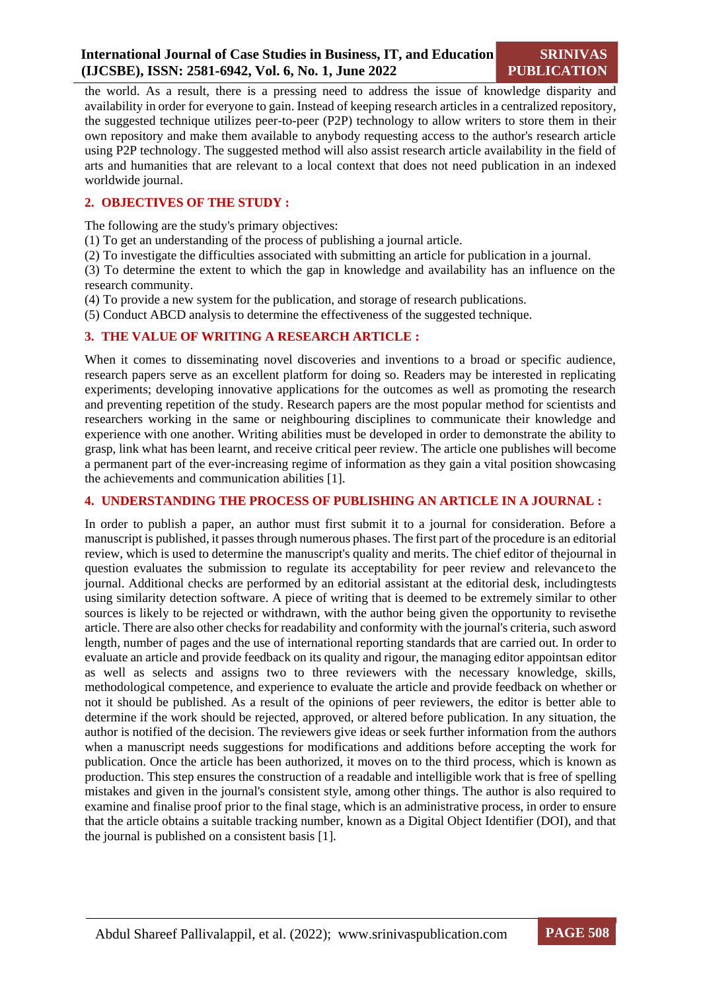the world. As a result, there is a pressing need to address the issue of knowledge disparity and availability in order for everyone to gain. Instead of keeping research articlesin a centralized repository, the suggested technique utilizes peer-to-peer (P2P) technology to allow writers to store them in their own repository and make them available to anybody requesting access to the author's research article using P2P technology. The suggested method will also assist research article availability in the field of arts and humanities that are relevant to a local context that does not need publication in an indexed worldwide journal.

## **2. OBJECTIVES OF THE STUDY :**

The following are the study's primary objectives:

- (1) To get an understanding of the process of publishing a journal article.
- (2) To investigate the difficulties associated with submitting an article for publication in a journal.

(3) To determine the extent to which the gap in knowledge and availability has an influence on the research community.

(4) To provide a new system for the publication, and storage of research publications.

(5) Conduct ABCD analysis to determine the effectiveness of the suggested technique.

#### **3. THE VALUE OF WRITING A RESEARCH ARTICLE :**

When it comes to disseminating novel discoveries and inventions to a broad or specific audience, research papers serve as an excellent platform for doing so. Readers may be interested in replicating experiments; developing innovative applications for the outcomes as well as promoting the research and preventing repetition of the study. Research papers are the most popular method for scientists and researchers working in the same or neighbouring disciplines to communicate their knowledge and experience with one another. Writing abilities must be developed in order to demonstrate the ability to grasp, link what has been learnt, and receive critical peer review. The article one publishes will become a permanent part of the ever-increasing regime of information as they gain a vital position showcasing the achievements and communication abilities [1].

## **4. UNDERSTANDING THE PROCESS OF PUBLISHING AN ARTICLE IN A JOURNAL :**

In order to publish a paper, an author must first submit it to a journal for consideration. Before a manuscript is published, it passes through numerous phases. The first part of the procedure is an editorial review, which is used to determine the manuscript's quality and merits. The chief editor of thejournal in question evaluates the submission to regulate its acceptability for peer review and relevanceto the journal. Additional checks are performed by an editorial assistant at the editorial desk, includingtests using similarity detection software. A piece of writing that is deemed to be extremely similar to other sources is likely to be rejected or withdrawn, with the author being given the opportunity to revisethe article. There are also other checks for readability and conformity with the journal's criteria, such asword length, number of pages and the use of international reporting standards that are carried out. In order to evaluate an article and provide feedback on its quality and rigour, the managing editor appointsan editor as well as selects and assigns two to three reviewers with the necessary knowledge, skills, methodological competence, and experience to evaluate the article and provide feedback on whether or not it should be published. As a result of the opinions of peer reviewers, the editor is better able to determine if the work should be rejected, approved, or altered before publication. In any situation, the author is notified of the decision. The reviewers give ideas or seek further information from the authors when a manuscript needs suggestions for modifications and additions before accepting the work for publication. Once the article has been authorized, it moves on to the third process, which is known as production. This step ensures the construction of a readable and intelligible work that is free of spelling mistakes and given in the journal's consistent style, among other things. The author is also required to examine and finalise proof prior to the final stage, which is an administrative process, in order to ensure that the article obtains a suitable tracking number, known as a Digital Object Identifier (DOI), and that the journal is published on a consistent basis [1].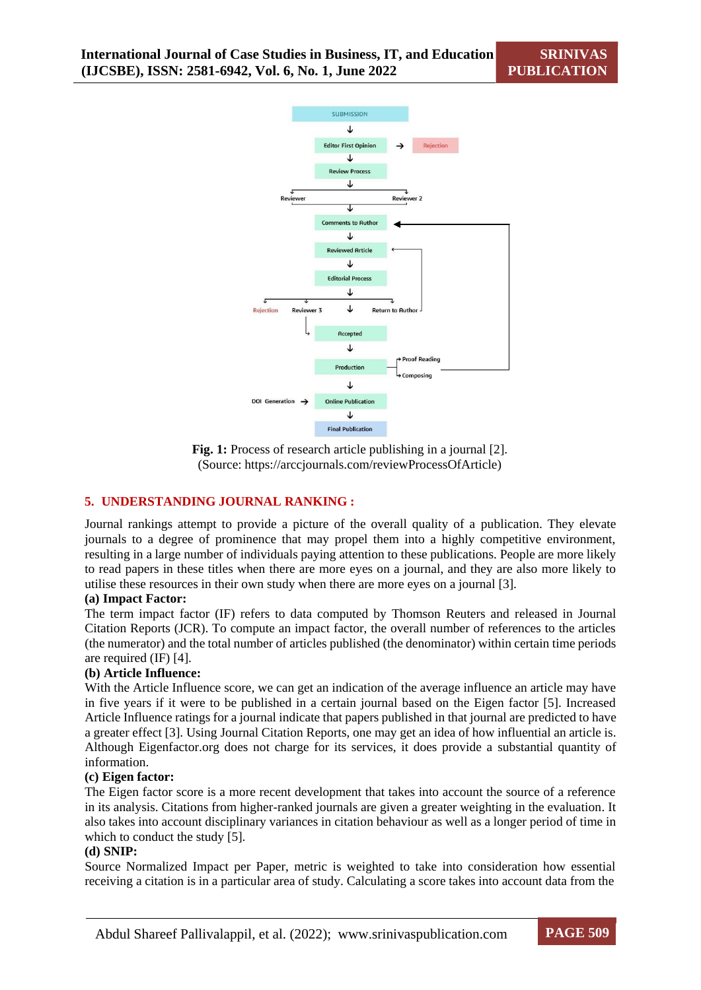**SRINIVAS PUBLICATION**



**Fig. 1:** Process of research article publishing in a journal [2]. (Source: https://arccjournals.com/reviewProcessOfArticle)

#### **5. UNDERSTANDING JOURNAL RANKING :**

Journal rankings attempt to provide a picture of the overall quality of a publication. They elevate journals to a degree of prominence that may propel them into a highly competitive environment, resulting in a large number of individuals paying attention to these publications. People are more likely to read papers in these titles when there are more eyes on a journal, and they are also more likely to utilise these resources in their own study when there are more eyes on a journal [3].

#### **(a) Impact Factor:**

The term impact factor (IF) refers to data computed by Thomson Reuters and released in Journal Citation Reports (JCR). To compute an impact factor, the overall number of references to the articles (the numerator) and the total number of articles published (the denominator) within certain time periods are required (IF) [4].

#### **(b) Article Influence:**

With the Article Influence score, we can get an indication of the average influence an article may have in five years if it were to be published in a certain journal based on the Eigen factor [5]. Increased Article Influence ratings for a journal indicate that papers published in that journal are predicted to have a greater effect [3]. Using Journal Citation Reports, one may get an idea of how influential an article is. Although Eigenfactor.org does not charge for its services, it does provide a substantial quantity of information.

#### **(c) Eigen factor:**

The Eigen factor score is a more recent development that takes into account the source of a reference in its analysis. Citations from higher-ranked journals are given a greater weighting in the evaluation. It also takes into account disciplinary variances in citation behaviour as well as a longer period of time in which to conduct the study [5].

#### **(d) SNIP:**

Source Normalized Impact per Paper, metric is weighted to take into consideration how essential receiving a citation is in a particular area of study. Calculating a score takes into account data from the

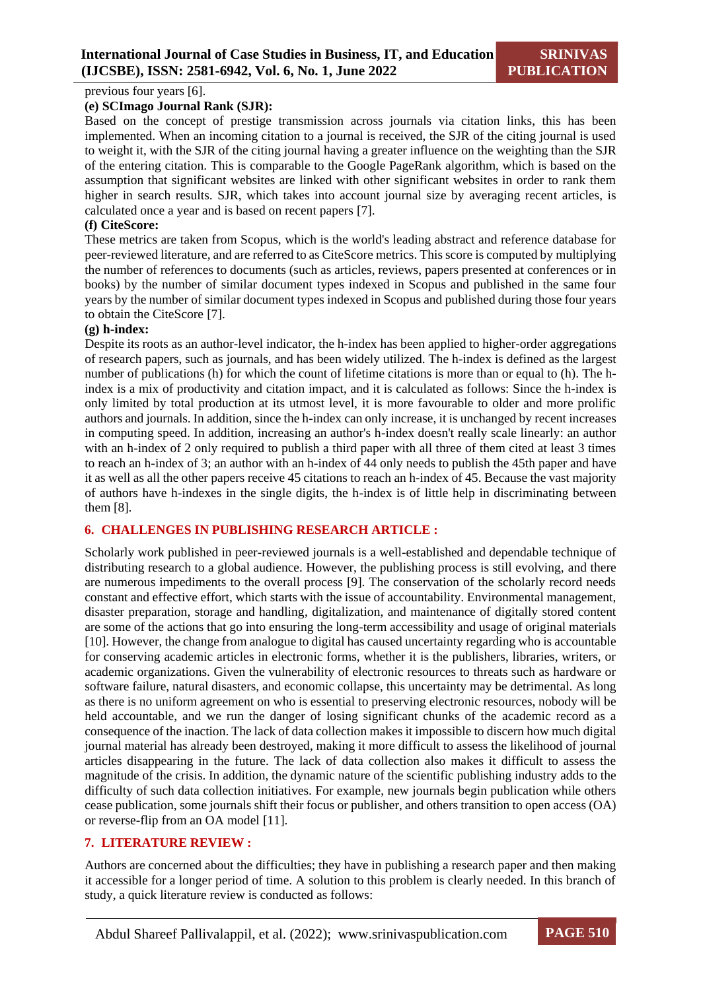previous four years [6].

#### **(e) SCImago Journal Rank (SJR):**

Based on the concept of prestige transmission across journals via citation links, this has been implemented. When an incoming citation to a journal is received, the SJR of the citing journal is used to weight it, with the SJR of the citing journal having a greater influence on the weighting than the SJR of the entering citation. This is comparable to the Google PageRank algorithm, which is based on the assumption that significant websites are linked with other significant websites in order to rank them higher in search results. SJR, which takes into account journal size by averaging recent articles, is calculated once a year and is based on recent papers [7].

## **(f) CiteScore:**

These metrics are taken from Scopus, which is the world's leading abstract and reference database for peer-reviewed literature, and are referred to as CiteScore metrics. This score is computed by multiplying the number of references to documents (such as articles, reviews, papers presented at conferences or in books) by the number of similar document types indexed in Scopus and published in the same four years by the number of similar document types indexed in Scopus and published during those four years to obtain the CiteScore [7].

#### **(g) h-index:**

Despite its roots as an author-level indicator, the h-index has been applied to higher-order aggregations of research papers, such as journals, and has been widely utilized. The h-index is defined as the largest number of publications (h) for which the count of lifetime citations is more than or equal to (h). The hindex is a mix of productivity and citation impact, and it is calculated as follows: Since the h-index is only limited by total production at its utmost level, it is more favourable to older and more prolific authors and journals. In addition, since the h-index can only increase, it is unchanged by recent increases in computing speed. In addition, increasing an author's h-index doesn't really scale linearly: an author with an h-index of 2 only required to publish a third paper with all three of them cited at least 3 times to reach an h-index of 3; an author with an h-index of 44 only needs to publish the 45th paper and have it as well as all the other papers receive 45 citations to reach an h-index of 45. Because the vast majority of authors have h-indexes in the single digits, the h-index is of little help in discriminating between them [8].

#### **6. CHALLENGES IN PUBLISHING RESEARCH ARTICLE :**

Scholarly work published in peer-reviewed journals is a well-established and dependable technique of distributing research to a global audience. However, the publishing process is still evolving, and there are numerous impediments to the overall process [9]. The conservation of the scholarly record needs constant and effective effort, which starts with the issue of accountability. Environmental management, disaster preparation, storage and handling, digitalization, and maintenance of digitally stored content are some of the actions that go into ensuring the long-term accessibility and usage of original materials [10]. However, the change from analogue to digital has caused uncertainty regarding who is accountable for conserving academic articles in electronic forms, whether it is the publishers, libraries, writers, or academic organizations. Given the vulnerability of electronic resources to threats such as hardware or software failure, natural disasters, and economic collapse, this uncertainty may be detrimental. As long as there is no uniform agreement on who is essential to preserving electronic resources, nobody will be held accountable, and we run the danger of losing significant chunks of the academic record as a consequence of the inaction. The lack of data collection makes it impossible to discern how much digital journal material has already been destroyed, making it more difficult to assess the likelihood of journal articles disappearing in the future. The lack of data collection also makes it difficult to assess the magnitude of the crisis. In addition, the dynamic nature of the scientific publishing industry adds to the difficulty of such data collection initiatives. For example, new journals begin publication while others cease publication, some journals shift their focus or publisher, and others transition to open access (OA) or reverse-flip from an OA model [11].

## **7. LITERATURE REVIEW :**

Authors are concerned about the difficulties; they have in publishing a research paper and then making it accessible for a longer period of time. A solution to this problem is clearly needed. In this branch of study, a quick literature review is conducted as follows: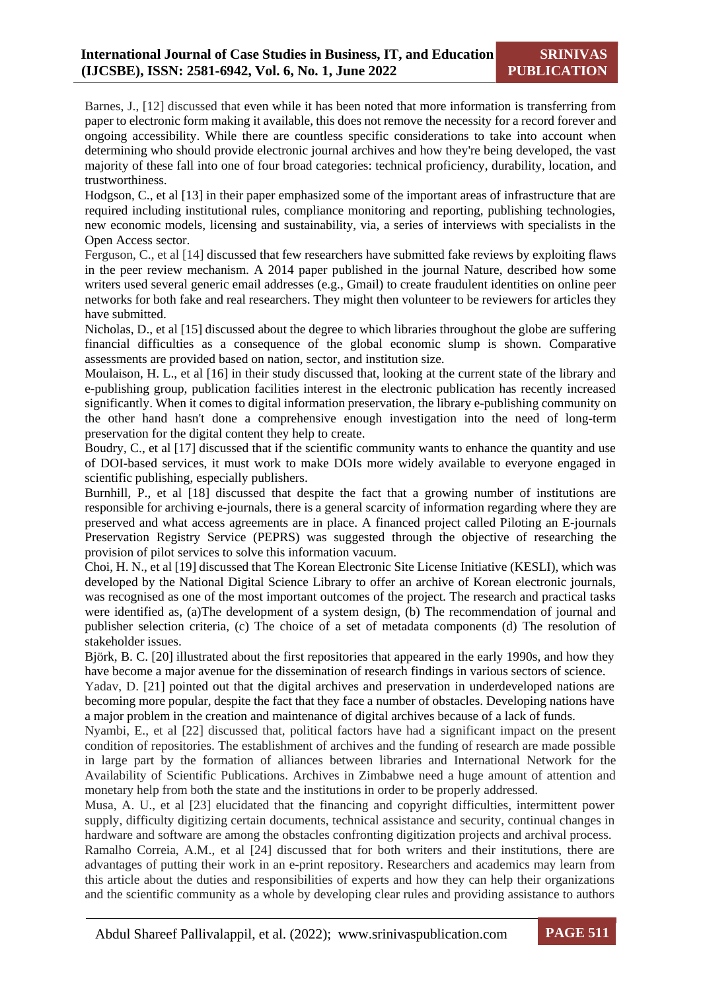Barnes, J., [12] discussed that even while it has been noted that more information is transferring from paper to electronic form making it available, this does not remove the necessity for a record forever and ongoing accessibility. While there are countless specific considerations to take into account when determining who should provide electronic journal archives and how they're being developed, the vast majority of these fall into one of four broad categories: technical proficiency, durability, location, and trustworthiness.

Hodgson, C., et al [13] in their paper emphasized some of the important areas of infrastructure that are required including institutional rules, compliance monitoring and reporting, publishing technologies, new economic models, licensing and sustainability, via, a series of interviews with specialists in the Open Access sector.

Ferguson, C., et al [14] discussed that few researchers have submitted fake reviews by exploiting flaws in the peer review mechanism. A 2014 paper published in the journal Nature, described how some writers used several generic email addresses (e.g., Gmail) to create fraudulent identities on online peer networks for both fake and real researchers. They might then volunteer to be reviewers for articles they have submitted.

Nicholas, D., et al [15] discussed about the degree to which libraries throughout the globe are suffering financial difficulties as a consequence of the global economic slump is shown. Comparative assessments are provided based on nation, sector, and institution size.

Moulaison, H. L., et al [16] in their study discussed that, looking at the current state of the library and e-publishing group, publication facilities interest in the electronic publication has recently increased significantly. When it comes to digital information preservation, the library e-publishing community on the other hand hasn't done a comprehensive enough investigation into the need of long-term preservation for the digital content they help to create.

Boudry, C., et al [17] discussed that if the scientific community wants to enhance the quantity and use of DOI-based services, it must work to make DOIs more widely available to everyone engaged in scientific publishing, especially publishers.

Burnhill, P., et al [18] discussed that despite the fact that a growing number of institutions are responsible for archiving e-journals, there is a general scarcity of information regarding where they are preserved and what access agreements are in place. A financed project called Piloting an E-journals Preservation Registry Service (PEPRS) was suggested through the objective of researching the provision of pilot services to solve this information vacuum.

Choi, H. N., et al [19] discussed that The Korean Electronic Site License Initiative (KESLI), which was developed by the National Digital Science Library to offer an archive of Korean electronic journals, was recognised as one of the most important outcomes of the project. The research and practical tasks were identified as, (a)The development of a system design, (b) The recommendation of journal and publisher selection criteria, (c) The choice of a set of metadata components (d) The resolution of stakeholder issues.

Björk, B. C. [20] illustrated about the first repositories that appeared in the early 1990s, and how they have become a major avenue for the dissemination of research findings in various sectors of science.

Yadav, D. [21] pointed out that the digital archives and preservation in underdeveloped nations are becoming more popular, despite the fact that they face a number of obstacles. Developing nations have a major problem in the creation and maintenance of digital archives because of a lack of funds.

Nyambi, E., et al [22] discussed that, political factors have had a significant impact on the present condition of repositories. The establishment of archives and the funding of research are made possible in large part by the formation of alliances between libraries and International Network for the Availability of Scientific Publications. Archives in Zimbabwe need a huge amount of attention and monetary help from both the state and the institutions in order to be properly addressed.

Musa, A. U., et al [23] elucidated that the financing and copyright difficulties, intermittent power supply, difficulty digitizing certain documents, technical assistance and security, continual changes in hardware and software are among the obstacles confronting digitization projects and archival process.

Ramalho Correia, A.M., et al [24] discussed that for both writers and their institutions, there are advantages of putting their work in an e-print repository. Researchers and academics may learn from this article about the duties and responsibilities of experts and how they can help their organizations and the scientific community as a whole by developing clear rules and providing assistance to authors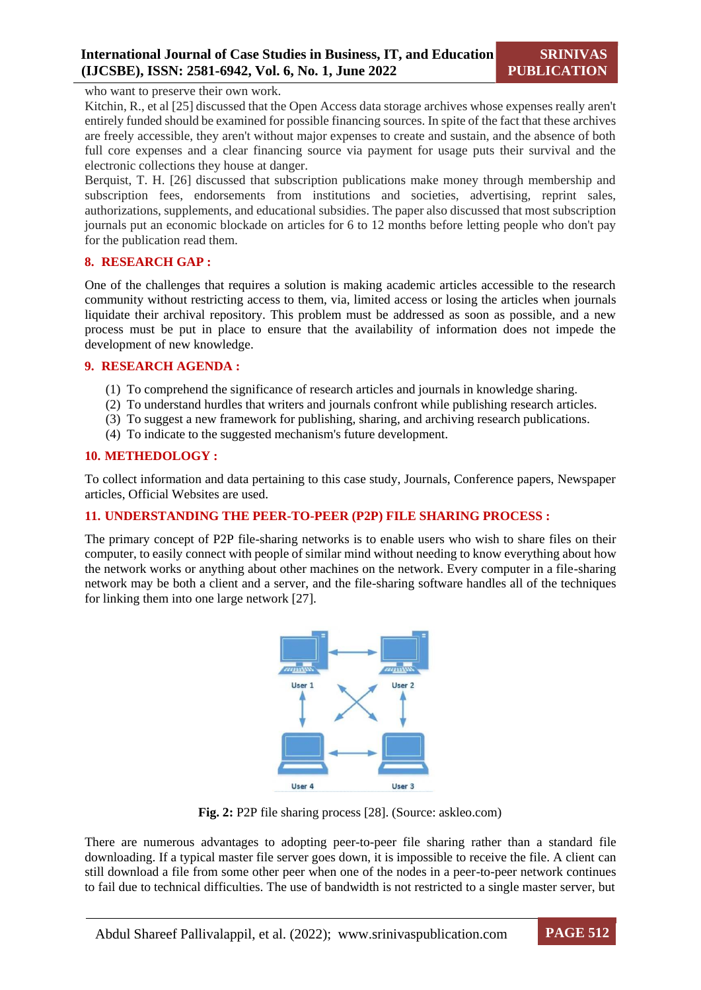who want to preserve their own work.

Kitchin, R., et al [25] discussed that the Open Access data storage archives whose expenses really aren't entirely funded should be examined for possible financing sources. In spite of the fact that these archives are freely accessible, they aren't without major expenses to create and sustain, and the absence of both full core expenses and a clear financing source via payment for usage puts their survival and the electronic collections they house at danger.

Berquist, T. H. [26] discussed that subscription publications make money through membership and subscription fees, endorsements from institutions and societies, advertising, reprint sales, authorizations, supplements, and educational subsidies. The paper also discussed that most subscription journals put an economic blockade on articles for 6 to 12 months before letting people who don't pay for the publication read them.

#### **8. RESEARCH GAP :**

One of the challenges that requires a solution is making academic articles accessible to the research community without restricting access to them, via, limited access or losing the articles when journals liquidate their archival repository. This problem must be addressed as soon as possible, and a new process must be put in place to ensure that the availability of information does not impede the development of new knowledge.

#### **9. RESEARCH AGENDA :**

- (1) To comprehend the significance of research articles and journals in knowledge sharing.
- (2) To understand hurdles that writers and journals confront while publishing research articles.
- (3) To suggest a new framework for publishing, sharing, and archiving research publications.
- (4) To indicate to the suggested mechanism's future development.

#### **10. METHEDOLOGY :**

To collect information and data pertaining to this case study, Journals, Conference papers, Newspaper articles, Official Websites are used.

#### **11. UNDERSTANDING THE PEER-TO-PEER (P2P) FILE SHARING PROCESS :**

The primary concept of P2P file-sharing networks is to enable users who wish to share files on their computer, to easily connect with people of similar mind without needing to know everything about how the network works or anything about other machines on the network. Every computer in a file-sharing network may be both a client and a server, and the file-sharing software handles all of the techniques for linking them into one large network [27].



**Fig. 2:** P2P file sharing process [28]. (Source: askleo.com)

There are numerous advantages to adopting peer-to-peer file sharing rather than a standard file downloading. If a typical master file server goes down, it is impossible to receive the file. A client can still download a file from some other peer when one of the nodes in a peer-to-peer network continues to fail due to technical difficulties. The use of bandwidth is not restricted to a single master server, but

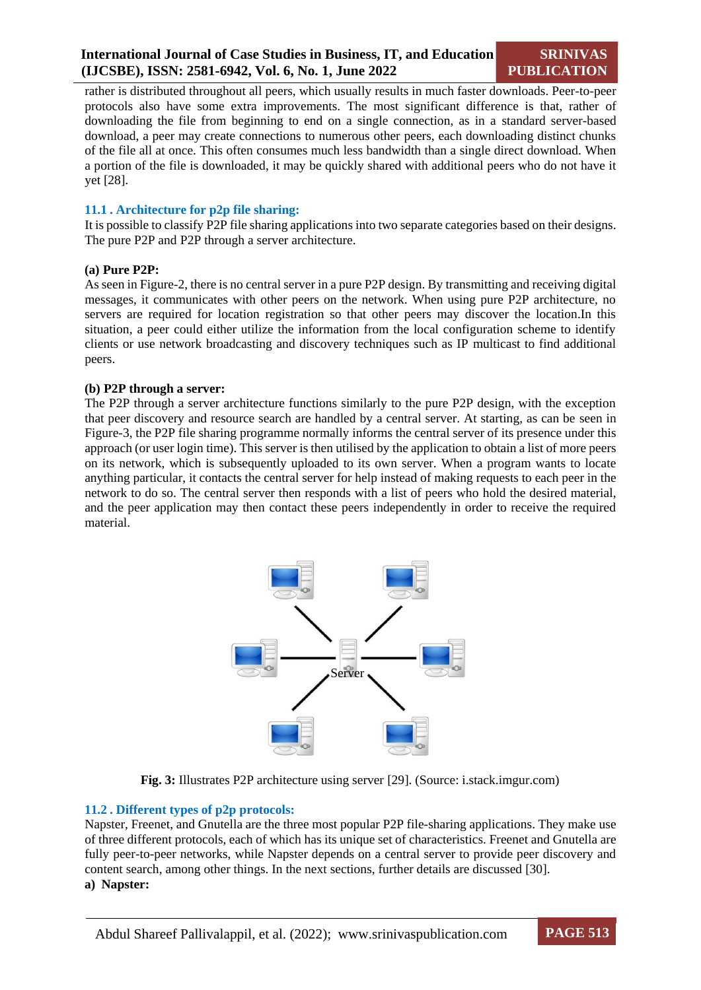rather is distributed throughout all peers, which usually results in much faster downloads. Peer-to-peer protocols also have some extra improvements. The most significant difference is that, rather of downloading the file from beginning to end on a single connection, as in a standard server-based download, a peer may create connections to numerous other peers, each downloading distinct chunks of the file all at once. This often consumes much less bandwidth than a single direct download. When a portion of the file is downloaded, it may be quickly shared with additional peers who do not have it yet [28].

#### **11.1 . Architecture for p2p file sharing:**

It is possible to classify P2P file sharing applications into two separate categories based on their designs. The pure P2P and P2P through a server architecture.

#### **(a) Pure P2P:**

As seen in Figure-2, there is no central server in a pure P2P design. By transmitting and receiving digital messages, it communicates with other peers on the network. When using pure P2P architecture, no servers are required for location registration so that other peers may discover the location.In this situation, a peer could either utilize the information from the local configuration scheme to identify clients or use network broadcasting and discovery techniques such as IP multicast to find additional peers.

#### **(b) P2P through a server:**

The P2P through a server architecture functions similarly to the pure P2P design, with the exception that peer discovery and resource search are handled by a central server. At starting, as can be seen in Figure-3, the P2P file sharing programme normally informs the central server of its presence under this approach (or user login time). This server is then utilised by the application to obtain a list of more peers on its network, which is subsequently uploaded to its own server. When a program wants to locate anything particular, it contacts the central server for help instead of making requests to each peer in the network to do so. The central server then responds with a list of peers who hold the desired material, and the peer application may then contact these peers independently in order to receive the required material.



**Fig. 3:** Illustrates P2P architecture using server [29]. (Source: i.stack.imgur.com)

#### **11.2 . Different types of p2p protocols:**

Napster, Freenet, and Gnutella are the three most popular P2P file-sharing applications. They make use of three different protocols, each of which has its unique set of characteristics. Freenet and Gnutella are fully peer-to-peer networks, while Napster depends on a central server to provide peer discovery and content search, among other things. In the next sections, further details are discussed [30]. **a) Napster:**

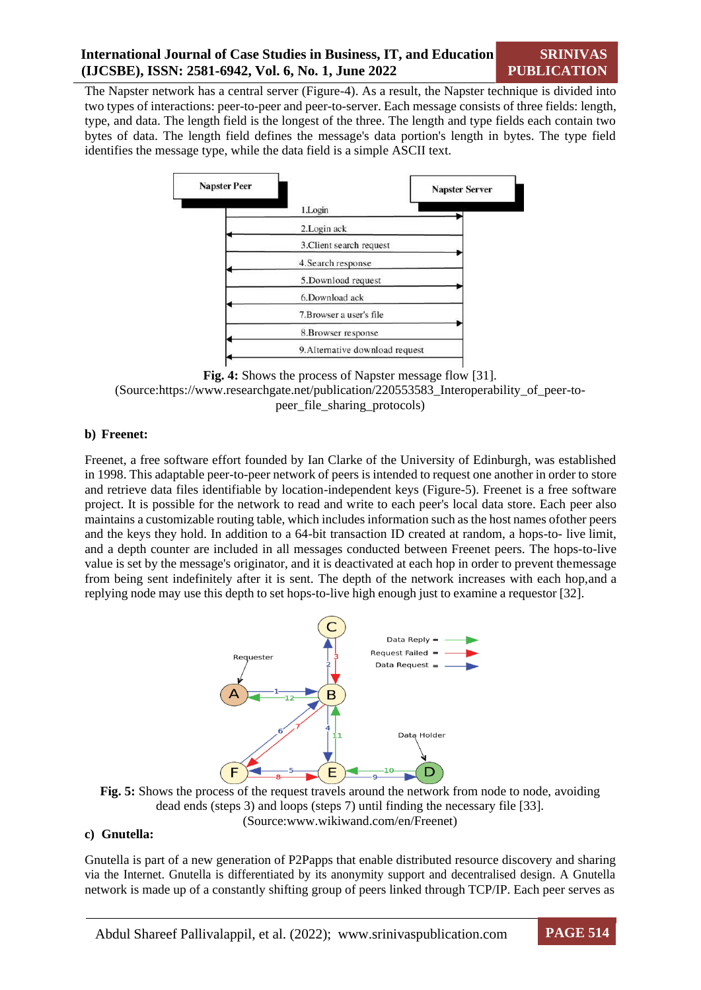The Napster network has a central server (Figure-4). As a result, the Napster technique is divided into two types of interactions: peer-to-peer and peer-to-server. Each message consists of three fields: length, type, and data. The length field is the longest of the three. The length and type fields each contain two bytes of data. The length field defines the message's data portion's length in bytes. The type field identifies the message type, while the data field is a simple ASCII text.





## **b) Freenet:**

Freenet, a free software effort founded by Ian Clarke of the University of Edinburgh, was established in 1998. This adaptable peer-to-peer network of peers is intended to request one another in order to store and retrieve data files identifiable by location-independent keys (Figure-5). Freenet is a free software project. It is possible for the network to read and write to each peer's local data store. Each peer also maintains a customizable routing table, which includes information such as the host names ofother peers and the keys they hold. In addition to a 64-bit transaction ID created at random, a hops-to- live limit, and a depth counter are included in all messages conducted between Freenet peers. The hops-to-live value is set by the message's originator, and it is deactivated at each hop in order to prevent themessage from being sent indefinitely after it is sent. The depth of the network increases with each hop,and a replying node may use this depth to set hops-to-live high enough just to examine a requestor [32].





#### **c) Gnutella:**

Gnutella is part of a new generation of P2Papps that enable distributed resource discovery and sharing via the Internet. Gnutella is differentiated by its anonymity support and decentralised design. A Gnutella network is made up of a constantly shifting group of peers linked through TCP/IP. Each peer serves as

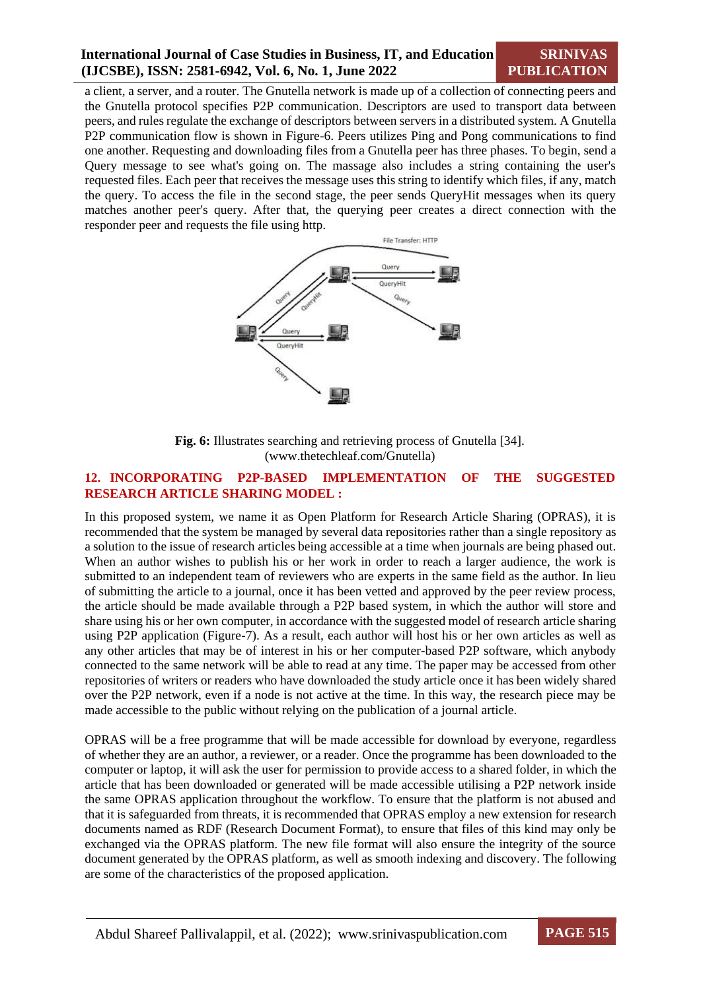a client, a server, and a router. The Gnutella network is made up of a collection of connecting peers and the Gnutella protocol specifies P2P communication. Descriptors are used to transport data between peers, and rules regulate the exchange of descriptors between servers in a distributed system. A Gnutella P2P communication flow is shown in Figure-6. Peers utilizes Ping and Pong communications to find one another. Requesting and downloading files from a Gnutella peer has three phases. To begin, send a Query message to see what's going on. The massage also includes a string containing the user's requested files. Each peer that receives the message uses this string to identify which files, if any, match the query. To access the file in the second stage, the peer sends QueryHit messages when its query matches another peer's query. After that, the querying peer creates a direct connection with the responder peer and requests the file using http.



**Fig. 6:** Illustrates searching and retrieving process of Gnutella [34]. [\(www.thetechleaf.com/Gnutella\)](http://www.thetechleaf.com/Gnutella))

## **12. INCORPORATING P2P-BASED IMPLEMENTATION OF THE SUGGESTED RESEARCH ARTICLE SHARING MODEL :**

In this proposed system, we name it as Open Platform for Research Article Sharing (OPRAS), it is recommended that the system be managed by several data repositories rather than a single repository as a solution to the issue of research articles being accessible at a time when journals are being phased out. When an author wishes to publish his or her work in order to reach a larger audience, the work is submitted to an independent team of reviewers who are experts in the same field as the author. In lieu of submitting the article to a journal, once it has been vetted and approved by the peer review process, the article should be made available through a P2P based system, in which the author will store and share using his or her own computer, in accordance with the suggested model of research article sharing using P2P application (Figure-7). As a result, each author will host his or her own articles as well as any other articles that may be of interest in his or her computer-based P2P software, which anybody connected to the same network will be able to read at any time. The paper may be accessed from other repositories of writers or readers who have downloaded the study article once it has been widely shared over the P2P network, even if a node is not active at the time. In this way, the research piece may be made accessible to the public without relying on the publication of a journal article.

OPRAS will be a free programme that will be made accessible for download by everyone, regardless of whether they are an author, a reviewer, or a reader. Once the programme has been downloaded to the computer or laptop, it will ask the user for permission to provide access to a shared folder, in which the article that has been downloaded or generated will be made accessible utilising a P2P network inside the same OPRAS application throughout the workflow. To ensure that the platform is not abused and that it is safeguarded from threats, it is recommended that OPRAS employ a new extension for research documents named as RDF (Research Document Format), to ensure that files of this kind may only be exchanged via the OPRAS platform. The new file format will also ensure the integrity of the source document generated by the OPRAS platform, as well as smooth indexing and discovery. The following are some of the characteristics of the proposed application.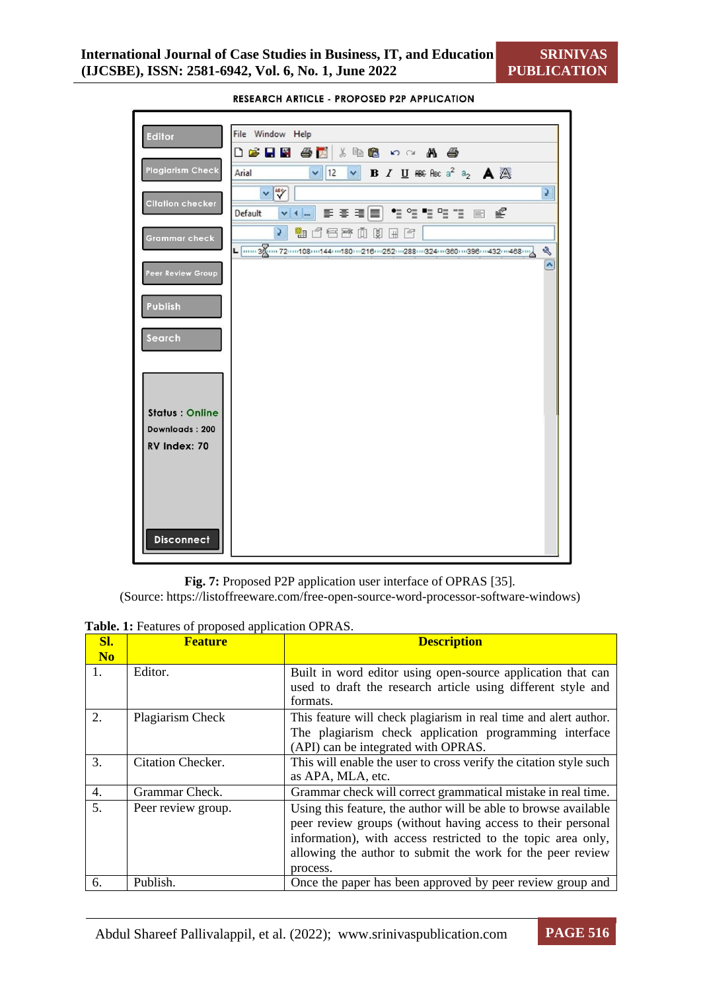**SRINIVAS PUBLICATION**



RESEARCH ARTICLE - PROPOSED P2P APPLICATION

**Fig. 7:** Proposed P2P application user interface of OPRAS [35].

(Source: https://listoffreeware.com/free-open-source-word-processor-software-windows)

**Table. 1:** Features of proposed application OPRAS.

| SI.                  | <b>Feature</b>     | <b>Description</b>                                                                                                                                                                                                                                                       |
|----------------------|--------------------|--------------------------------------------------------------------------------------------------------------------------------------------------------------------------------------------------------------------------------------------------------------------------|
| N <sub>o</sub><br>1. | Editor.            | Built in word editor using open-source application that can<br>used to draft the research article using different style and<br>formats.                                                                                                                                  |
| 2.                   | Plagiarism Check   | This feature will check plagiarism in real time and alert author.<br>The plagiarism check application programming interface<br>(API) can be integrated with OPRAS.                                                                                                       |
| 3.                   | Citation Checker.  | This will enable the user to cross verify the citation style such<br>as APA, MLA, etc.                                                                                                                                                                                   |
| 4.                   | Grammar Check.     | Grammar check will correct grammatical mistake in real time.                                                                                                                                                                                                             |
| 5.                   | Peer review group. | Using this feature, the author will be able to browse available<br>peer review groups (without having access to their personal<br>information), with access restricted to the topic area only,<br>allowing the author to submit the work for the peer review<br>process. |
| 6.                   | Publish.           | Once the paper has been approved by peer review group and                                                                                                                                                                                                                |

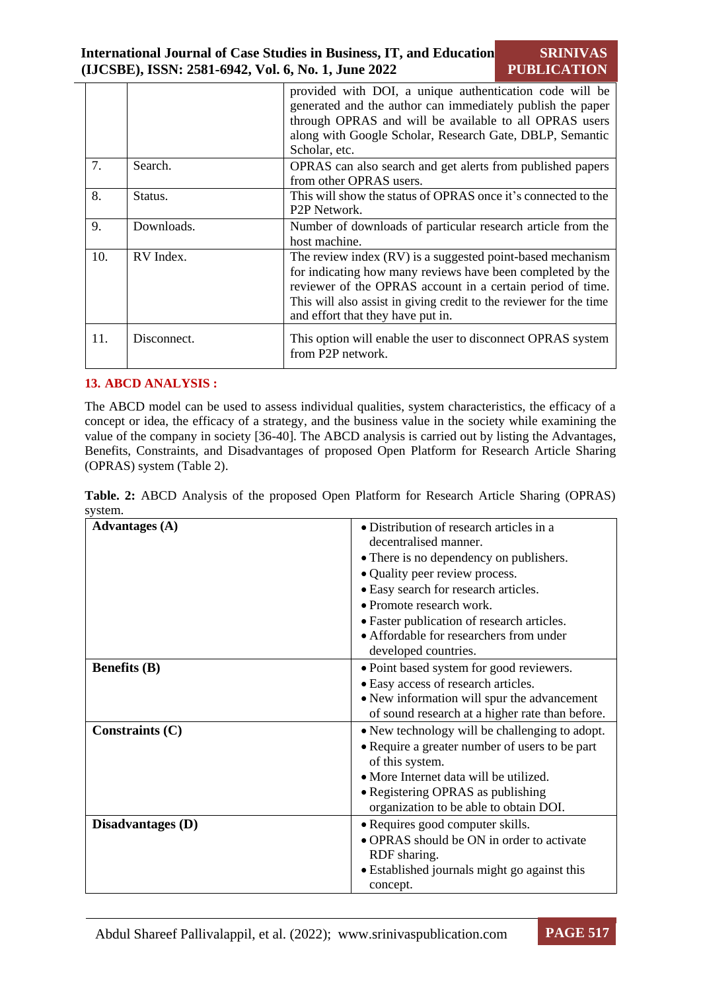|     |             | provided with DOI, a unique authentication code will be<br>generated and the author can immediately publish the paper<br>through OPRAS and will be available to all OPRAS users<br>along with Google Scholar, Research Gate, DBLP, Semantic<br>Scholar, etc.                                       |
|-----|-------------|----------------------------------------------------------------------------------------------------------------------------------------------------------------------------------------------------------------------------------------------------------------------------------------------------|
| 7.  | Search.     | OPRAS can also search and get alerts from published papers<br>from other OPRAS users.                                                                                                                                                                                                              |
| 8.  | Status.     | This will show the status of OPRAS once it's connected to the<br>P <sub>2</sub> P Network.                                                                                                                                                                                                         |
| 9.  | Downloads.  | Number of downloads of particular research article from the<br>host machine.                                                                                                                                                                                                                       |
| 10. | RV Index.   | The review index (RV) is a suggested point-based mechanism<br>for indicating how many reviews have been completed by the<br>reviewer of the OPRAS account in a certain period of time.<br>This will also assist in giving credit to the reviewer for the time<br>and effort that they have put in. |
| 11. | Disconnect. | This option will enable the user to disconnect OPRAS system<br>from P2P network.                                                                                                                                                                                                                   |

## **13. ABCD ANALYSIS :**

The ABCD model can be used to assess individual qualities, system characteristics, the efficacy of a concept or idea, the efficacy of a strategy, and the business value in the society while examining the value of the company in society [36-40]. The ABCD analysis is carried out by listing the Advantages, Benefits, Constraints, and Disadvantages of proposed Open Platform for Research Article Sharing (OPRAS) system (Table 2).

**Table. 2:** ABCD Analysis of the proposed Open Platform for Research Article Sharing (OPRAS) system.

| <b>Advantages</b> (A) | • Distribution of research articles in a<br>decentralised manner.<br>• There is no dependency on publishers.<br>• Quality peer review process.<br>• Easy search for research articles.                                                       |
|-----------------------|----------------------------------------------------------------------------------------------------------------------------------------------------------------------------------------------------------------------------------------------|
|                       | • Promote research work.<br>• Faster publication of research articles.<br>• Affordable for researchers from under<br>developed countries.                                                                                                    |
| <b>Benefits</b> (B)   | • Point based system for good reviewers.<br>• Easy access of research articles.<br>• New information will spur the advancement<br>of sound research at a higher rate than before.                                                            |
| Constraints $(C)$     | • New technology will be challenging to adopt.<br>• Require a greater number of users to be part<br>of this system.<br>• More Internet data will be utilized.<br>• Registering OPRAS as publishing<br>organization to be able to obtain DOI. |
| Disadvantages (D)     | · Requires good computer skills.<br>• OPRAS should be ON in order to activate<br>RDF sharing.<br>• Established journals might go against this<br>concept.                                                                                    |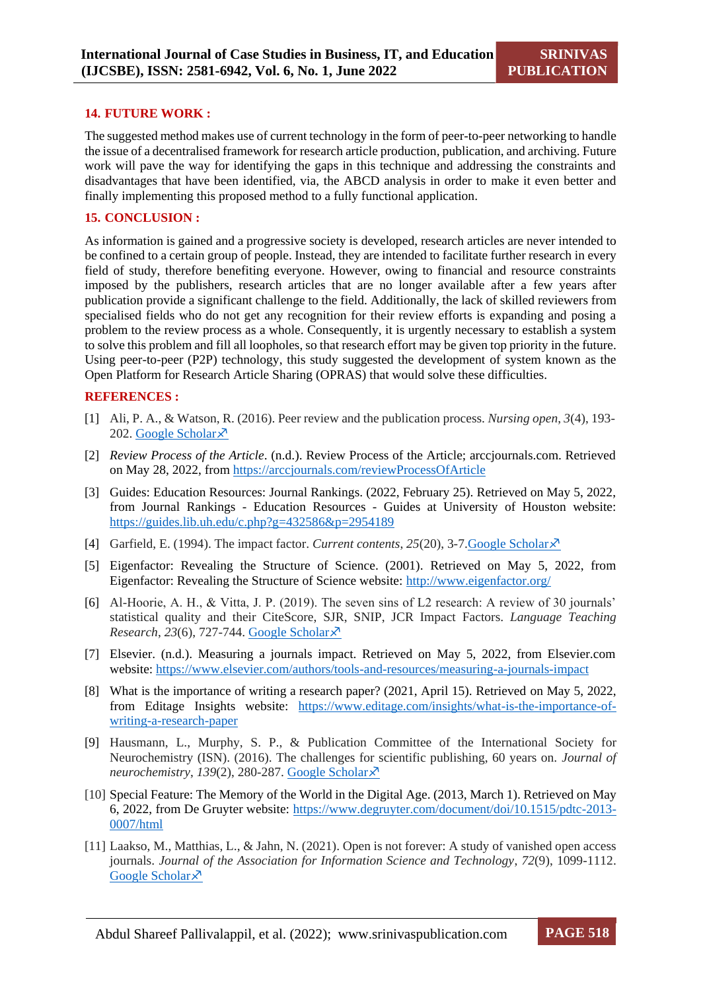#### **14. FUTURE WORK :**

The suggested method makes use of current technology in the form of peer-to-peer networking to handle the issue of a decentralised framework for research article production, publication, and archiving. Future work will pave the way for identifying the gaps in this technique and addressing the constraints and disadvantages that have been identified, via, the ABCD analysis in order to make it even better and finally implementing this proposed method to a fully functional application.

#### **15. CONCLUSION :**

As information is gained and a progressive society is developed, research articles are never intended to be confined to a certain group of people. Instead, they are intended to facilitate further research in every field of study, therefore benefiting everyone. However, owing to financial and resource constraints imposed by the publishers, research articles that are no longer available after a few years after publication provide a significant challenge to the field. Additionally, the lack of skilled reviewers from specialised fields who do not get any recognition for their review efforts is expanding and posing a problem to the review process as a whole. Consequently, it is urgently necessary to establish a system to solve this problem and fill all loopholes, so that research effort may be given top priority in the future. Using peer-to-peer (P2P) technology, this study suggested the development of system known as the Open Platform for Research Article Sharing (OPRAS) that would solve these difficulties.

#### **REFERENCES :**

- [1] Ali, P. A., & Watson, R. (2016). Peer review and the publication process. *Nursing open*, *3*(4), 193- 202. Google [Scholar](https://scholar.google.com/scholar?hl=en&as_sdt=0%2C5&q=Ali%2C%2BP.%2BA.%2C%2B%26%2BWatson%2C%2BR.%2B%282016%29.%2BPeer%2Breview%2Band%2Bthe%2Bpublication%2Bprocess.%2BNursing%2Bopen%2C%2B3%284%29%2C%2B193-202&btnG) $\lambda$ <sup>7</sup>
- [2] *Review Process of the Article*. (n.d.). Review Process of the Article; arccjournals.com. Retrieved on May 28, 2022, from <https://arccjournals.com/reviewProcessOfArticle>
- [3] Guides: Education Resources: Journal Rankings. (2022, February 25). Retrieved on May 5, 2022, from Journal Rankings - Education Resources - Guides at University of Houston website: <https://guides.lib.uh.edu/c.php?g=432586&p=2954189>
- [4] Garfield, E. (1994). The impact factor. *Current contents*, *25*(20), 3-7[.Google](https://scholar.google.com/scholar?hl=en&as_sdt=0%2C5&q=Garfield%2C%2BE.%2B%281994%29.%2BThe%2Bimpact%2Bfactor.%2BCurrent%2Bcontents%2C%2B25%2820%29%2C%2B3-7&btnG) Scholar
- [5] Eigenfactor: Revealing the Structure of Science. (2001). Retrieved on May 5, 2022, from Eigenfactor: Revealing the Structure of Science website: <http://www.eigenfactor.org/>
- [6] Al-Hoorie, A. H., & Vitta, J. P. (2019). The seven sins of L2 research: A review of 30 journals' statistical quality and their CiteScore, SJR, SNIP, JCR Impact Factors. *Language Teaching Research*, 23(6), 727-744. Google [Scholar](https://scholar.google.com/scholar?hl=en&as_sdt=0%2C5&q=Al-Hoorie%2C%2BA.%2BH.%2C%2B%26%2BVitta%2C%2BJ.%2BP.%2B%282019%29.%2BThe%2Bseven%2Bsins%2Bof%2BL2%2Bresearch%3A%2BA%2Breview%2Bof%2B30%2Bjournals%E2%80%99%2Bstatistical%2Bquality%2Band%2Btheir%2BCiteScore%2C%2BSJR%2C%2BSNIP%2C%2BJCR%2BImpact%2BFactors.%2BLanguage%2BTeaching%2BResearch%2C%2B23%286%29%2C%2B727-744&btnG) $\overline{\mathcal{X}}$
- [7] Elsevier. (n.d.). Measuring a journals impact. Retrieved on May 5, 2022, from Elsevier.com website: <https://www.elsevier.com/authors/tools-and-resources/measuring-a-journals-impact>
- [8] What is the importance of writing a research paper? (2021, April 15). Retrieved on May 5, 2022, from Editage Insights website: [https://www.editage.com/insights/what-is-the-importance-of](https://www.editage.com/insights/what-is-the-importance-of-writing-a-research-paper)[writing-a-research-paper](https://www.editage.com/insights/what-is-the-importance-of-writing-a-research-paper)
- [9] Hausmann, L., Murphy, S. P., & Publication Committee of the International Society for Neurochemistry (ISN). (2016). The challenges for scientific publishing, 60 years on. *Journal of neurochemistry*, *139*(2), 280-287. Google [Scholar](https://scholar.google.com/scholar?hl=en&as_sdt=0%2C5&q=Hausmann%2C%2BL.%2C%2BMurphy%2C%2BS.%2BP.%2C%2B%26%2BPublication%2BCommittee%2Bof%2Bthe%2BInternational%2BSociety%2Bfor%2BNeurochemistry%2B%28ISN%29.%2B%282016%29.%2BThe%2Bchallenges%2Bfor%2Bscientific%2Bpublishing%2C%2B60%2Byears%2Bon.%2BJournal%2Bof%2Bneurochemistry%2C%2B139%282%29%2C%2B280-287&btnG)
- [10] Special Feature: The Memory of the World in the Digital Age. (2013, March 1). Retrieved on May 6, 2022, from De Gruyter website: [https://www.degruyter.com/document/doi/10.1515/pdtc-2013-](https://www.degruyter.com/document/doi/10.1515/pdtc-2013-0007/html) [0007/html](https://www.degruyter.com/document/doi/10.1515/pdtc-2013-0007/html)
- [11] Laakso, M., Matthias, L., & Jahn, N. (2021). Open is not forever: A study of vanished open access journals. *Journal of the Association for Information Science and Technology*, *72*(9), 1099-1112. Google [Scholar](https://scholar.google.com/scholar?hl=en&as_sdt=0%2C5&q=Laakso%2C%2BM.%2C%2BMatthias%2C%2BL.%2C%2B%26%2BJahn%2C%2BN.%2B%282021%29.%2BOpen%2Bis%2Bnot%2Bforever%3A%2BA%2Bstudy%2Bof%2Bvanished%2Bopen%2Baccess%2Bjournals.%2BJournal%2Bof%2Bthe%2BAssociation%2Bfor%2BInformation%2BScience%2Band%2BTechnology%2C%2B72%289%29%2C%2B1099-1112.%2B&btnG) ×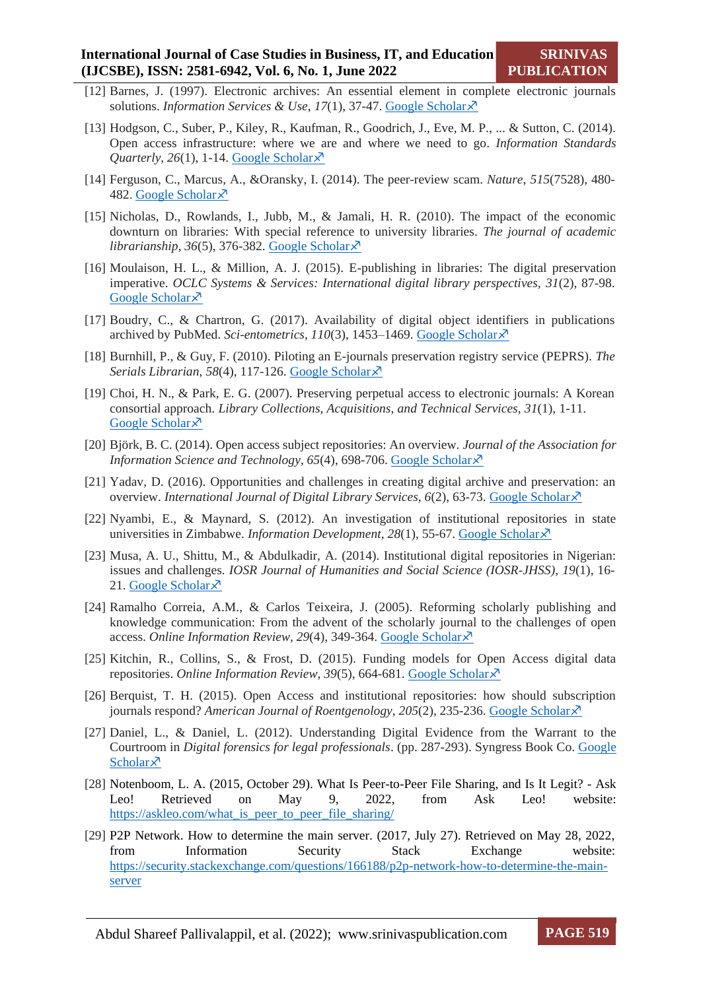- [12] Barnes, J. (1997). Electronic archives: An essential element in complete electronic journals solutions. *Information Services & Use*, *17*(1), 37-47. Google [Scholar](https://scholar.google.com/scholar?hl=en&as_sdt=0%2C5&q=Barnes%2C%2BJ.%2B%281997%29.%2BElectronic%2Barchives%3A%2BAn%2Bessential%2Belement%2Bin%2Bcomplete%2Belectronic%2Bjournals%2Bsolutions.%2BInformation%2BServices%2B%26%2BUse%2C%2B17%281%29%2C%2B37-47&btnG)
- [13] Hodgson, C., Suber, P., Kiley, R., Kaufman, R., Goodrich, J., Eve, M. P., ... & Sutton, C. (2014). Open access infrastructure: where we are and where we need to go. *Information Standards Quarterly*,  $26(1)$ , 1-14. Google [Scholar](https://scholar.google.com/scholar?hl=en&as_sdt=0%2C5&q=Hodgson%2C%2BC.%2C%2BSuber%2C%2BP.%2C%2BKiley%2C%2BR.%2C%2BKaufman%2C%2BR.%2C%2BGoodrich%2C%2BJ.%2C%2BEve%2C%2BM.%2BP.%2C%2B...%2B%26%2BSutton%2C%2BC.%2B%282014%29.%2BOpen%2Baccess%2Binfrastructure%3A%2Bwhere%2Bwe%2Bare%2Band%2Bwhere%2Bwe%2Bneed%2Bto%2Bgo.%2BInformation%2BStandards%2BQuarterly%2C%2B26%281%29%2C%2B1-14&btnG) $\lambda$ <sup>7</sup>
- [14] Ferguson, C., Marcus, A., &Oransky, I. (2014). The peer-review scam. *Nature*, *515*(7528), 480- 482. Google [Scholar](https://scholar.google.com/scholar?hl=en&as_sdt=0%2C5&q=Ferguson%2C%2BC.%2C%2BMarcus%2C%2BA.%2C%2B%26%2BOransky%2C%2BI.%2B%282014%29.%2BThe%2Bpeer-review%2Bscam.%2BNature%2C%2B515%287528%29%2C%2B480-482&btnG)s
- [15] Nicholas, D., Rowlands, I., Jubb, M., & Jamali, H. R. (2010). The impact of the economic downturn on libraries: With special reference to university libraries. *The journal of academic librarianship*, *36*(5), 376-382. Google [Scholar](https://scholar.google.com/scholar?hl=en&as_sdt=0%2C5&q=Nicholas%2C%2BD.%2C%2BRowlands%2C%2BI.%2C%2BJubb%2C%2BM.%2C%2B%26%2BJamali%2C%2BH.%2BR.%2B%282010%29.%2BThe%2Bimpact%2Bof%2Bthe%2Beconomic%2Bdownturn%2Bon%2Blibraries%3A%2BWith%2Bspecial%2Breference%2Bto%2Buniversity%2Blibraries.%2BThe%2Bjournal%2Bof%2Bacademic%2Blibrarianship%2C%2B36%285%29%2C%2B376-382.%2B&btnG)
- [16] Moulaison, H. L., & Million, A. J. (2015). E-publishing in libraries: The digital preservation imperative. *OCLC Systems & Services: International digital library perspectives, 31*(2), 87-98. Google [Scholar](https://scholar.google.com/scholar?hl=en&as_sdt=0%2C5&q=Moulaison%2C%2BH.%2BL.%2C%2B%26%2BMillion%2C%2BA.%2BJ.%2B%282015%29.%2BE-publishing%2Bin%2Blibraries%3A%2BThe%2Bdigital%2Bpreservation%2Bimperative.%2BOCLC%2BSystems%2B%26%2BServices%3A%2BInternational%2Bdigital%2Blibrary%2Bperspectives%2C31%282%29%2C87-98.%2B&btnG) ×
- [17] Boudry, C., & Chartron, G. (2017). Availability of digital object identifiers in publications archived by PubMed. *Sci-entometrics*, 110(3), 1453-1469. Google [Scholar](https://scholar.google.com/scholar?hl=en&as_sdt=0%2C5&q=Boudry%2C%2BC.%2C%2B%26%2BChartron%2C%2BG.%2B%282017%29.%2BAvailability%2Bof%2Bdigital%2Bobject%2Bidentifiers%2Bin%2Bpublications%2Barchived%2Bby%2BPubMed.%2BSci-entometrics%2C110%283%29%2C1453%E2%80%931469.&btnG) ×
- [18] Burnhill, P., & Guy, F. (2010). Piloting an E-journals preservation registry service (PEPRS). *The Serials Librarian*, *58*(4), 117-126. Google [Scholar](https://scholar.google.com/scholar?hl=en&as_sdt=0%2C5&q=Burnhill%2C%2BP.%2C%2B%26%2BGuy%2C%2BF.%2B%282010%29.%2BPiloting%2Ban%2BE-journals%2Bpreservation%2Bregistry%2Bservice%2B%28PEPRS%29.%2BThe%2BSerials%2BLibrarian%2C%2B58%284%29%2C%2B117-126.%2B&btnG)
- [19] Choi, H. N., & Park, E. G. (2007). Preserving perpetual access to electronic journals: A Korean consortial approach. *Library Collections, Acquisitions, and Technical Services*, *31*(1), 1-11. Google [Scholar](https://scholar.google.com/scholar?hl=en&as_sdt=0%2C5&q=Choi%2C%2BH.%2BN.%2C%2B%26%2BPark%2C%2BE.%2BG.%2B%282007%29.%2BPreserving%2Bperpetual%2Baccess%2Bto%2Belectronic%2Bjournals%3A%2BA%2BKorean%2Bconsortial%2Bapproach.%2BLibrary%2BCollections%2C%2BAcquisitions%2C%2Band%2BTechnical%2BServices%2C%2B31%281%29%2C%2B1-11&btnG) ×
- [20] Björk, B. C. (2014). Open access subject repositories: An overview. *Journal of the Association for Information Science and Technology*, *65*(4), 698-706. Google [Scholar](https://scholar.google.com/scholar?hl=en&as_sdt=0%2C5&q=Bj%C3%B6rk%2C%2BB.%2BC.%2B%282014%29.%2BOpen%2Baccess%2Bsubject%2Brepositories%3A%2BAn%2Boverview.%2BJournal%2Bof%2Bthe%2BAssociation%2Bfor%2BInformation%2BScience%2Band%2BTechnology%2C%2B65%284%29%2C%2B698-706&btnG)
- [21] Yadav, D. (2016). Opportunities and challenges in creating digital archive and preservation: an overview. *International Journal of Digital Library Services*, *6*(2), 63-73. Google [Scholar](https://scholar.google.com/scholar?hl=en&as_sdt=0%2C5&q=Yadav%2C%2BD.%2B%282016%29.%2BOpportunities%2Band%2Bchallenges%2Bin%2Bcreating%2Bdigital%2Barchive%2Band%2Bpreservation%3A%2Ban%2Boverview.%2BInternational%2BJournal%2Bof%2BDigital%2BLibrary%2BServices%2C%2B6%282%29%2C%2B63-73.&btnG)
- [22] Nyambi, E., & Maynard, S. (2012). An investigation of institutional repositories in state universities in Zimbabwe. *Information Development*, *28*(1), 55-67. Google [Scholar](https://scholar.google.com/scholar?hl=en&as_sdt=0%2C5&q=Nyambi%2C%2BE.%2C%2B%26%2BMaynard%2C%2BS.%2B%282012%29.%2BAn%2Binvestigation%2Bof%2Binstitutional%2Brepositories%2Bin%2Bstate%2Buniversities%2Bin%2BZimbabwe.%2BInformation%2BDevelopment%2C%2B28%281%29%2C%2B55-67.&btnG)
- [23] Musa, A. U., Shittu, M., & Abdulkadir, A. (2014). Institutional digital repositories in Nigerian: issues and challenges. *IOSR Journal of Humanities and Social Science (IOSR-JHSS)*, *19*(1), 16- 21. Google [Scholar](https://scholar.google.com/scholar?hl=en&as_sdt=0%2C5&q=Musa%2C%2BA.%2BU.%2C%2BShittu%2C%2BM.%2C%2B%26%2BAbdulkadir%2C%2BA.%2B%282014%29.%2BInstitutional%2Bdigital%2Brepositories%2Bin%2BNigerian%3A%2Bissues%2Band%2Bchallenges.%2BIOSR%2BJournal%2Bof%2BHumanities%2Band%2BSocial%2BScience%2B%28IOSR-JHSS%29%2C%2B19%281%29%2C%2B16-21.&btnG) $\overline{x}$
- [24] Ramalho Correia, A.M., & Carlos Teixeira, J. (2005). Reforming scholarly publishing and knowledge communication: From the advent of the scholarly journal to the challenges of open access. *Online Information Review, 29*(4), 349-364. Google [Scholar](https://scholar.google.com/scholar?hl=en&as_sdt=0%2C5&q=Ramalho%2BCorreia%2C%2BA.M.%2Band%2BCarlos%2BTeixeira%2C%2BJ.%2B%282005%29%2C%2B%22Reforming%2Bscholarly%2Bpublishing%2Band%2Bknowledge%2Bcommunication%3A%2BFrom%2Bthe%2Badvent%2Bof%2Bthe%2Bscholarly%2Bjournal%2Bto%2Bthe%2Bchallenges%2Bof%2Bopen%2Baccess%22%2C%2BOnline%2BInformation%2BReview%2C%2B29%284%29%2C%2B349-364.&btnG)
- [25] Kitchin, R., Collins, S., & Frost, D. (2015). Funding models for Open Access digital data repositories. *Online Information Review*, *39*(5), 664-681. Google [Scholar](https://scholar.google.com/scholar?hl=en&as_sdt=0%2C5&q=Kitchin%2C%2BR.%2C%2BCollins%2C%2BS.%2C%2B%26%2BFrost%2C%2BD.%2B%282015%29.%2BFunding%2Bmodels%2Bfor%2BOpen%2BAccess%2Bdigital%2Bdata%2Brepositories.%2BOnline%2BInformation%2BReview%2C%2B39%285%29%2C%2B664-681&btnG)
- [26] Berquist, T. H. (2015). Open Access and institutional repositories: how should subscription journals respond? *American Journal of Roentgenology*, *205*(2), 235-236. Google [Scholar](https://scholar.google.com/scholar?hl=en&as_sdt=0%2C5&q=Berquist%2C%2BT.%2BH.%2B%282015%29.%2BOpen%2BAccess%2Band%2Binstitutional%2Brepositories%3A%2Bhow%2Bshould%2Bsubscription%2Bjournals%2Brespond%3F.%2BAmerican%2BJournal%2Bof%2BRoentgenology%2C%2B205%282%29%2C%2B235-236&btnG)
- [27] Daniel, L., & Daniel, L. (2012). Understanding Digital Evidence from the Warrant to the Courtroom in *Digital forensics for legal professionals*. (pp. 287-293). Syngress Book Co. [Google](https://scholar.google.com/scholar?hl=en&as_sdt=0%2C5&q=Daniel%2C%2BL.%2C%2B%26%2BDaniel%2C%2BL.%2B%282012%29.%2BDigital%2Bforensics%2Bfor%2Blegal%2Bprofessionals.%2BSyngress%2BBook%2BCo%2C%2B1%2C%2B287-293.&btnG) [Scholar](https://scholar.google.com/scholar?hl=en&as_sdt=0%2C5&q=Daniel%2C%2BL.%2C%2B%26%2BDaniel%2C%2BL.%2B%282012%29.%2BDigital%2Bforensics%2Bfor%2Blegal%2Bprofessionals.%2BSyngress%2BBook%2BCo%2C%2B1%2C%2B287-293.&btnG) $\lambda$
- [28] Notenboom, L. A. (2015, October 29). What Is Peer-to-Peer File Sharing, and Is It Legit? Ask Leo! Retrieved on May 9, 2022, from Ask Leo! website: [https://askleo.com/what\\_is\\_peer\\_to\\_peer\\_file\\_sharing/](https://askleo.com/what_is_peer_to_peer_file_sharing/)
- [29] P2P Network. How to determine the main server. (2017, July 27). Retrieved on May 28, 2022, from Information Security Stack Exchange website: [https://security.stackexchange.com/questions/166188/p2p-network-how-to-determine-the-main](https://security.stackexchange.com/questions/166188/p2p-network-how-to-determine-the-main-server)[server](https://security.stackexchange.com/questions/166188/p2p-network-how-to-determine-the-main-server)